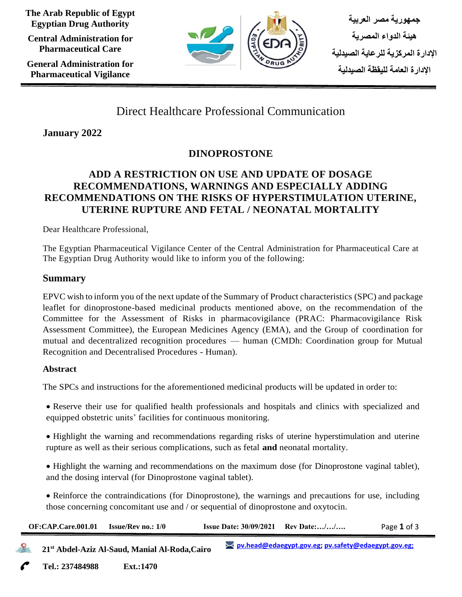**The Arab Republic of Egypt Egyptian Drug Authority**

**Central Administration for Pharmaceutical Care**

**General Administration for Pharmaceutical Vigilance**



**جمهورية مصر العربية هيئة الدواء المصرية اإلدارة المركزية للرعاية الصيدلية اإلدارة العامة لليقظة الصيدلية** 

# Direct Healthcare Professional Communication

**January 2022**

# **DINOPROSTONE**

## **ADD A RESTRICTION ON USE AND UPDATE OF DOSAGE RECOMMENDATIONS, WARNINGS AND ESPECIALLY ADDING RECOMMENDATIONS ON THE RISKS OF HYPERSTIMULATION UTERINE, UTERINE RUPTURE AND FETAL / NEONATAL MORTALITY**

Dear Healthcare Professional,

The Egyptian Pharmaceutical Vigilance Center of the Central Administration for Pharmaceutical Care at The Egyptian Drug Authority would like to inform you of the following:

### **Summary**

EPVC wish to inform you of the next update of the Summary of Product characteristics (SPC) and package leaflet for dinoprostone-based medicinal products mentioned above, on the recommendation of the Committee for the Assessment of Risks in pharmacovigilance (PRAC: Pharmacovigilance Risk Assessment Committee), the European Medicines Agency (EMA), and the Group of coordination for mutual and decentralized recognition procedures — human (CMDh: Coordination group for Mutual Recognition and Decentralised Procedures - Human).

### **Abstract**

The SPCs and instructions for the aforementioned medicinal products will be updated in order to:

• Reserve their use for qualified health professionals and hospitals and clinics with specialized and equipped obstetric units' facilities for continuous monitoring.

• Highlight the warning and recommendations regarding risks of uterine hyperstimulation and uterine rupture as well as their serious complications, such as fetal **and** neonatal mortality.

• Highlight the warning and recommendations on the maximum dose (for Dinoprostone vaginal tablet), and the dosing interval (for Dinoprostone vaginal tablet).

• Reinforce the contraindications (for Dinoprostone), the warnings and precautions for use, including those concerning concomitant use and / or sequential of dinoprostone and oxytocin.

| OF:CAP.Care.001.01 | <b>Issue/Rev no.: 1/0</b>                                  | <b>Issue Date: 30/09/2021</b> Rev Date:// |                                                                      | Page 1 of 3 |  |
|--------------------|------------------------------------------------------------|-------------------------------------------|----------------------------------------------------------------------|-------------|--|
|                    | 21 <sup>st</sup> Abdel-Aziz Al-Saud, Manial Al-Roda, Cairo |                                           | <u><b>EX pv.head@edaegypt.gov.eg; pv.safety@edaegypt.gov.eg;</b></u> |             |  |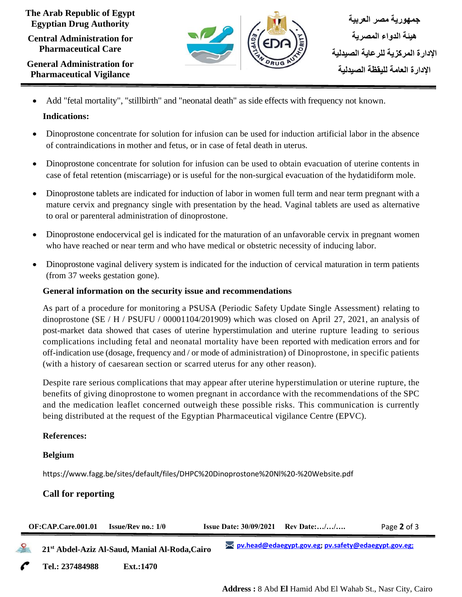#### **The Arab Republic of Egypt Egyptian Drug Authority**

**Central Administration for Pharmaceutical Care**

**General Administration for Pharmaceutical Vigilance**



• Add "fetal mortality", "stillbirth" and "neonatal death" as side effects with frequency not known.

#### **Indications:**

- Dinoprostone concentrate for solution for infusion can be used for induction artificial labor in the absence of contraindications in mother and fetus, or in case of fetal death in uterus.
- Dinoprostone concentrate for solution for infusion can be used to obtain evacuation of uterine contents in case of fetal retention (miscarriage) or is useful for the non-surgical evacuation of the hydatidiform mole.
- Dinoprostone tablets are indicated for induction of labor in women full term and near term pregnant with a mature cervix and pregnancy single with presentation by the head. Vaginal tablets are used as alternative to oral or parenteral administration of dinoprostone.
- Dinoprostone endocervical gel is indicated for the maturation of an unfavorable cervix in pregnant women who have reached or near term and who have medical or obstetric necessity of inducing labor.
- Dinoprostone vaginal delivery system is indicated for the induction of cervical maturation in term patients (from 37 weeks gestation gone).

#### **General information on the security issue and recommendations**

As part of a procedure for monitoring a PSUSA (Periodic Safety Update Single Assessment) relating to dinoprostone (SE / H / PSUFU / 00001104/201909) which was closed on April 27, 2021, an analysis of post-market data showed that cases of uterine hyperstimulation and uterine rupture leading to serious complications including fetal and neonatal mortality have been reported with medication errors and for off-indication use (dosage, frequency and / or mode of administration) of Dinoprostone, in specific patients (with a history of caesarean section or scarred uterus for any other reason).

Despite rare serious complications that may appear after uterine hyperstimulation or uterine rupture, the benefits of giving dinoprostone to women pregnant in accordance with the recommendations of the SPC and the medication leaflet concerned outweigh these possible risks. This communication is currently being distributed at the request of the Egyptian Pharmaceutical vigilance Centre (EPVC).

#### **References:**

#### **Belgium**

https://www.fagg.be/sites/default/files/DHPC%20Dinoprostone%20Nl%20-%20Website.pdf

#### **Call for reporting**

|              | OF:CAP.Care.001.01 | <b>Issue/Rev no.: 1/0</b>                                  | <b>Issue Date: 30/09/2021</b> Rev Date:// |                                                                      | Page 2 of 3 |  |
|--------------|--------------------|------------------------------------------------------------|-------------------------------------------|----------------------------------------------------------------------|-------------|--|
| $\mathbf{S}$ |                    | 21 <sup>st</sup> Abdel-Aziz Al-Saud, Manial Al-Roda, Cairo |                                           | <u><b>EX pv.head@edaegypt.gov.eg; pv.safety@edaegypt.gov.eg;</b></u> |             |  |
|              | Tel.: 237484988    | Ext.:1470                                                  |                                           |                                                                      |             |  |